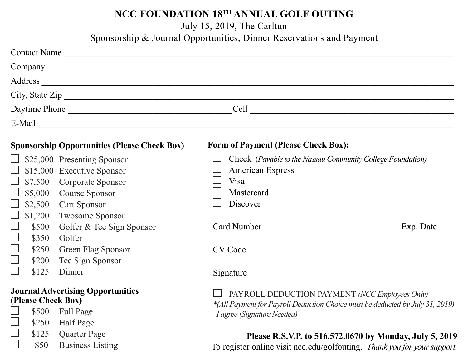## **NCC FOUNDATION 18TH ANNUAL GOLF OUTING**

July 15, 2019, The Carltun

Sponsorship & Journal Opportunities, Dinner Reservations and Payment

|                                                                                  | Contact Name                                                                                                                                                                                                                         |                                                                                                                                                                                                                                                                                                                                                                        |  |
|----------------------------------------------------------------------------------|--------------------------------------------------------------------------------------------------------------------------------------------------------------------------------------------------------------------------------------|------------------------------------------------------------------------------------------------------------------------------------------------------------------------------------------------------------------------------------------------------------------------------------------------------------------------------------------------------------------------|--|
|                                                                                  |                                                                                                                                                                                                                                      |                                                                                                                                                                                                                                                                                                                                                                        |  |
|                                                                                  |                                                                                                                                                                                                                                      |                                                                                                                                                                                                                                                                                                                                                                        |  |
|                                                                                  |                                                                                                                                                                                                                                      |                                                                                                                                                                                                                                                                                                                                                                        |  |
|                                                                                  |                                                                                                                                                                                                                                      |                                                                                                                                                                                                                                                                                                                                                                        |  |
|                                                                                  |                                                                                                                                                                                                                                      |                                                                                                                                                                                                                                                                                                                                                                        |  |
|                                                                                  | <b>Sponsorship Opportunities (Please Check Box)</b>                                                                                                                                                                                  | Form of Payment (Please Check Box):                                                                                                                                                                                                                                                                                                                                    |  |
| \$2,500<br>\$1,200<br>\$500<br>$\vert \ \ \vert$<br>\$350<br>\$250<br>□<br>\$200 | \$25,000 Presenting Sponsor<br>\$15,000 Executive Sponsor<br>\$7,500 Corporate Sponsor<br>\$5,000 Course Sponsor<br>Cart Sponsor<br>Twosome Sponsor<br>Golfer & Tee Sign Sponsor<br>Golfer<br>Green Flag Sponsor<br>Tee Sign Sponsor | Check (Payable to the Nassau Community College Foundation)<br>American Express<br>Visa<br>Mastercard<br>Discover<br>Card Number<br>Exp. Date<br>CV Code                                                                                                                                                                                                                |  |
| \$125                                                                            | Dinner                                                                                                                                                                                                                               | Signature                                                                                                                                                                                                                                                                                                                                                              |  |
| (Please Check Box)<br>\$500<br>\$250                                             | <b>Journal Advertising Opportunities</b><br><b>Full Page</b><br>Half Page                                                                                                                                                            | PAYROLL DEDUCTION PAYMENT (NCC Employees Only)<br>*(All Payment for Payroll Deduction Choice must be deducted by July 31, 2019)<br><i>I agree (Signature Needed)</i> example and all the state of the state of the state of the state of the state of the state of the state of the state of the state of the state of the state of the state of the state of the stat |  |
| \$125                                                                            | <b>Ouarter Page</b>                                                                                                                                                                                                                  | Please R S V P to 516 572 0670 by Monday July 5, 2019                                                                                                                                                                                                                                                                                                                  |  |

\$50 Business Listing

#### **Please R.S.V.P. to 516.572.0670 by Monday, July 5, 2019**

To register online visit ncc.edu/golfouting. *Thank you for your support.*